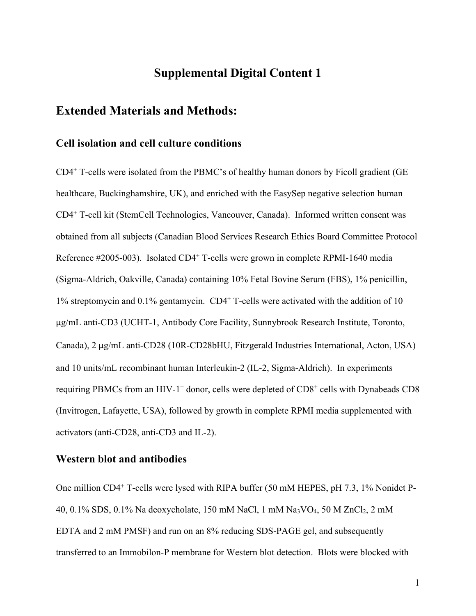# **Supplemental Digital Content 1**

## **Extended Materials and Methods:**

#### **Cell isolation and cell culture conditions**

CD4+ T-cells were isolated from the PBMC's of healthy human donors by Ficoll gradient (GE healthcare, Buckinghamshire, UK), and enriched with the EasySep negative selection human CD4+ T-cell kit (StemCell Technologies, Vancouver, Canada). Informed written consent was obtained from all subjects (Canadian Blood Services Research Ethics Board Committee Protocol Reference #2005-003). Isolated CD4<sup>+</sup> T-cells were grown in complete RPMI-1640 media (Sigma-Aldrich, Oakville, Canada) containing 10% Fetal Bovine Serum (FBS), 1% penicillin, 1% streptomycin and 0.1% gentamycin. CD4+ T-cells were activated with the addition of 10 μg/mL anti-CD3 (UCHT-1, Antibody Core Facility, Sunnybrook Research Institute, Toronto, Canada), 2 μg/mL anti-CD28 (10R-CD28bHU, Fitzgerald Industries International, Acton, USA) and 10 units/mL recombinant human Interleukin-2 (IL-2, Sigma-Aldrich). In experiments requiring PBMCs from an HIV-1<sup>+</sup> donor, cells were depleted of CD8<sup>+</sup> cells with Dynabeads CD8 (Invitrogen, Lafayette, USA), followed by growth in complete RPMI media supplemented with activators (anti-CD28, anti-CD3 and IL-2).

### **Western blot and antibodies**

One million CD4+ T-cells were lysed with RIPA buffer (50 mM HEPES, pH 7.3, 1% Nonidet P-40, 0.1% SDS, 0.1% Na deoxycholate, 150 mM NaCl, 1 mM Na3VO4, 50 M ZnCl2, 2 mM EDTA and 2 mM PMSF) and run on an 8% reducing SDS-PAGE gel, and subsequently transferred to an Immobilon-P membrane for Western blot detection. Blots were blocked with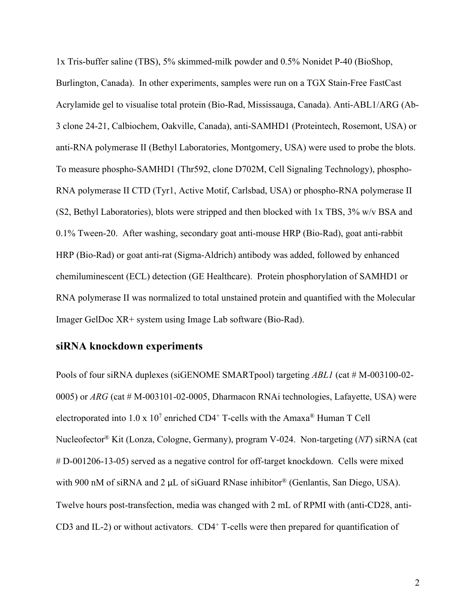1x Tris-buffer saline (TBS), 5% skimmed-milk powder and 0.5% Nonidet P-40 (BioShop, Burlington, Canada). In other experiments, samples were run on a TGX Stain-Free FastCast Acrylamide gel to visualise total protein (Bio-Rad, Mississauga, Canada). Anti-ABL1/ARG (Ab-3 clone 24-21, Calbiochem, Oakville, Canada), anti-SAMHD1 (Proteintech, Rosemont, USA) or anti-RNA polymerase II (Bethyl Laboratories, Montgomery, USA) were used to probe the blots. To measure phospho-SAMHD1 (Thr592, clone D702M, Cell Signaling Technology), phospho-RNA polymerase II CTD (Tyr1, Active Motif, Carlsbad, USA) or phospho-RNA polymerase II (S2, Bethyl Laboratories), blots were stripped and then blocked with 1x TBS, 3% w/v BSA and 0.1% Tween-20. After washing, secondary goat anti-mouse HRP (Bio-Rad), goat anti-rabbit HRP (Bio-Rad) or goat anti-rat (Sigma-Aldrich) antibody was added, followed by enhanced chemiluminescent (ECL) detection (GE Healthcare). Protein phosphorylation of SAMHD1 or RNA polymerase II was normalized to total unstained protein and quantified with the Molecular Imager GelDoc XR+ system using Image Lab software (Bio-Rad).

### **siRNA knockdown experiments**

Pools of four siRNA duplexes (siGENOME SMARTpool) targeting *ABL1* (cat # M-003100-02-0005) or *ARG* (cat # M-003101-02-0005, Dharmacon RNAi technologies, Lafayette, USA) were electroporated into  $1.0 \times 10^7$  enriched CD4<sup>+</sup> T-cells with the Amaxa<sup>®</sup> Human T Cell Nucleofector® Kit (Lonza, Cologne, Germany), program V-024. Non-targeting (*NT*) siRNA (cat # D-001206-13-05) served as a negative control for off-target knockdown. Cells were mixed with 900 nM of siRNA and 2 μL of siGuard RNase inhibitor® (Genlantis, San Diego, USA). Twelve hours post-transfection, media was changed with 2 mL of RPMI with (anti-CD28, anti-CD3 and IL-2) or without activators.  $CD4^+$  T-cells were then prepared for quantification of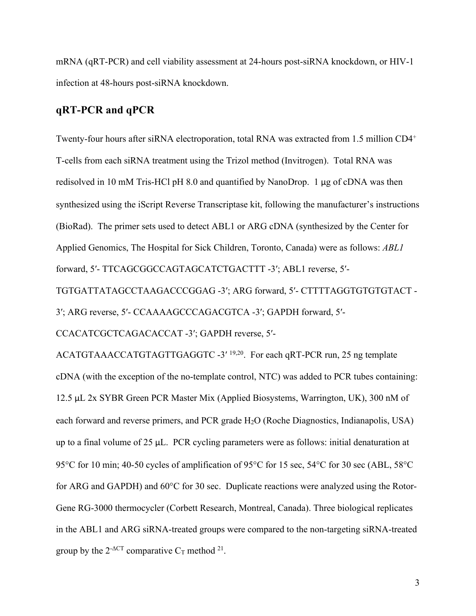mRNA (qRT-PCR) and cell viability assessment at 24-hours post-siRNA knockdown, or HIV-1 infection at 48-hours post-siRNA knockdown.

### **qRT-PCR and qPCR**

Twenty-four hours after siRNA electroporation, total RNA was extracted from 1.5 million CD4+ T-cells from each siRNA treatment using the Trizol method (Invitrogen). Total RNA was redisolved in 10 mM Tris-HCl pH 8.0 and quantified by NanoDrop. 1 μg of cDNA was then synthesized using the iScript Reverse Transcriptase kit, following the manufacturer's instructions (BioRad). The primer sets used to detect ABL1 or ARG cDNA (synthesized by the Center for Applied Genomics, The Hospital for Sick Children, Toronto, Canada) were as follows: *ABL1*  forward, 5′- TTCAGCGGCCAGTAGCATCTGACTTT -3′; ABL1 reverse, 5′-

TGTGATTATAGCCTAAGACCCGGAG -3′; ARG forward, 5′- CTTTTAGGTGTGTGTACT -

3′; ARG reverse, 5′- CCAAAAGCCCAGACGTCA -3′; GAPDH forward, 5′-

CCACATCGCTCAGACACCAT -3′; GAPDH reverse, 5′-

ACATGTAAACCATGTAGTTGAGGTC -3′ 19,20. For each qRT-PCR run, 25 ng template cDNA (with the exception of the no-template control, NTC) was added to PCR tubes containing: 12.5 μL 2x SYBR Green PCR Master Mix (Applied Biosystems, Warrington, UK), 300 nM of each forward and reverse primers, and PCR grade H2O (Roche Diagnostics, Indianapolis, USA) up to a final volume of 25 μL. PCR cycling parameters were as follows: initial denaturation at 95°C for 10 min; 40-50 cycles of amplification of 95°C for 15 sec, 54°C for 30 sec (ABL, 58°C for ARG and GAPDH) and 60°C for 30 sec. Duplicate reactions were analyzed using the Rotor-Gene RG-3000 thermocycler (Corbett Research, Montreal, Canada). Three biological replicates in the ABL1 and ARG siRNA-treated groups were compared to the non-targeting siRNA-treated group by the  $2^{\text{-}\Delta \text{CT}}$  comparative  $C_T$  method <sup>21</sup>.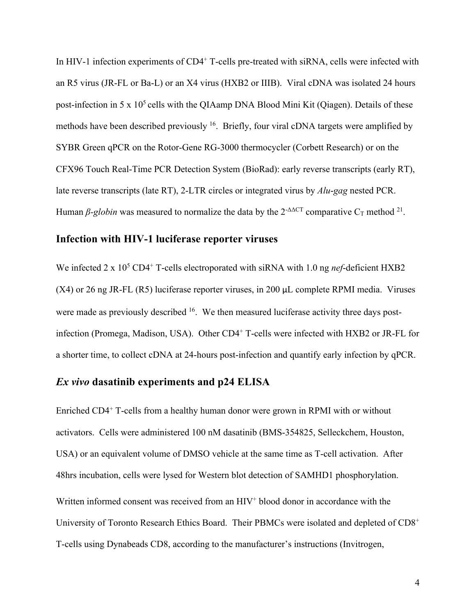In HIV-1 infection experiments of CD4<sup>+</sup> T-cells pre-treated with siRNA, cells were infected with an R5 virus (JR-FL or Ba-L) or an X4 virus (HXB2 or IIIB). Viral cDNA was isolated 24 hours post-infection in 5 x  $10<sup>5</sup>$  cells with the QIAamp DNA Blood Mini Kit (Qiagen). Details of these methods have been described previously  $16$ . Briefly, four viral cDNA targets were amplified by SYBR Green qPCR on the Rotor-Gene RG-3000 thermocycler (Corbett Research) or on the CFX96 Touch Real-Time PCR Detection System (BioRad): early reverse transcripts (early RT), late reverse transcripts (late RT), 2-LTR circles or integrated virus by *Alu*-*gag* nested PCR. Human  $\beta$ -globin was measured to normalize the data by the  $2^{-\Delta\Delta CT}$  comparative C<sub>T</sub> method <sup>21</sup>.

#### **Infection with HIV-1 luciferase reporter viruses**

We infected 2 x 10<sup>5</sup> CD4<sup>+</sup> T-cells electroporated with siRNA with 1.0 ng *nef*-deficient HXB2 (X4) or 26 ng JR-FL (R5) luciferase reporter viruses, in 200 μL complete RPMI media. Viruses were made as previously described <sup>16</sup>. We then measured luciferase activity three days postinfection (Promega, Madison, USA). Other CD4<sup>+</sup> T-cells were infected with HXB2 or JR-FL for a shorter time, to collect cDNA at 24-hours post-infection and quantify early infection by qPCR.

### *Ex vivo* **dasatinib experiments and p24 ELISA**

Enriched CD4+ T-cells from a healthy human donor were grown in RPMI with or without activators. Cells were administered 100 nM dasatinib (BMS-354825, Selleckchem, Houston, USA) or an equivalent volume of DMSO vehicle at the same time as T-cell activation. After 48hrs incubation, cells were lysed for Western blot detection of SAMHD1 phosphorylation. Written informed consent was received from an HIV<sup>+</sup> blood donor in accordance with the University of Toronto Research Ethics Board. Their PBMCs were isolated and depleted of CD8<sup>+</sup> T-cells using Dynabeads CD8, according to the manufacturer's instructions (Invitrogen,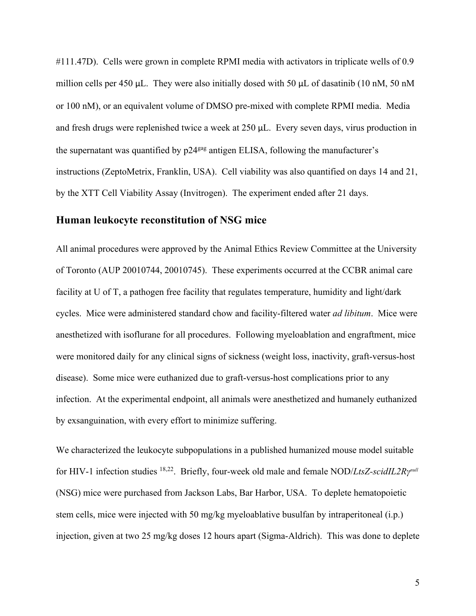#111.47D). Cells were grown in complete RPMI media with activators in triplicate wells of 0.9 million cells per 450 μL. They were also initially dosed with 50 μL of dasatinib (10 nM, 50 nM or 100 nM), or an equivalent volume of DMSO pre-mixed with complete RPMI media. Media and fresh drugs were replenished twice a week at 250 μL. Every seven days, virus production in the supernatant was quantified by  $p24\text{g}$  antigen ELISA, following the manufacturer's instructions (ZeptoMetrix, Franklin, USA). Cell viability was also quantified on days 14 and 21, by the XTT Cell Viability Assay (Invitrogen). The experiment ended after 21 days.

### **Human leukocyte reconstitution of NSG mice**

All animal procedures were approved by the Animal Ethics Review Committee at the University of Toronto (AUP 20010744, 20010745). These experiments occurred at the CCBR animal care facility at U of T, a pathogen free facility that regulates temperature, humidity and light/dark cycles. Mice were administered standard chow and facility-filtered water *ad libitum*. Mice were anesthetized with isoflurane for all procedures. Following myeloablation and engraftment, mice were monitored daily for any clinical signs of sickness (weight loss, inactivity, graft-versus-host disease). Some mice were euthanized due to graft-versus-host complications prior to any infection. At the experimental endpoint, all animals were anesthetized and humanely euthanized by exsanguination, with every effort to minimize suffering.

We characterized the leukocyte subpopulations in a published humanized mouse model suitable for HIV-1 infection studies <sup>18,22</sup>. Briefly, four-week old male and female NOD/*LtsZ-scidIL2Ry<sup>null</sup>* (NSG) mice were purchased from Jackson Labs, Bar Harbor, USA. To deplete hematopoietic stem cells, mice were injected with 50 mg/kg myeloablative busulfan by intraperitoneal (i.p.) injection, given at two 25 mg/kg doses 12 hours apart (Sigma-Aldrich). This was done to deplete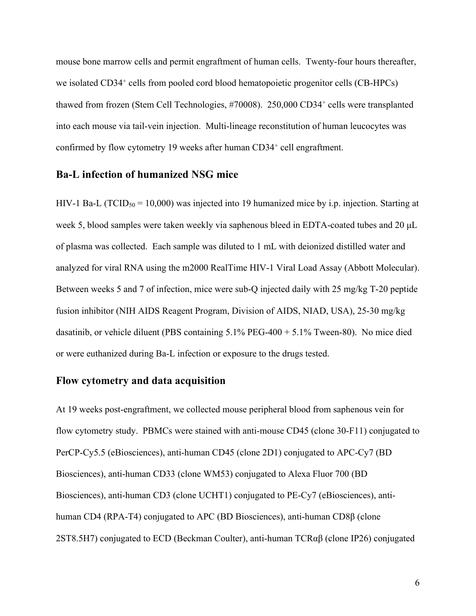mouse bone marrow cells and permit engraftment of human cells. Twenty-four hours thereafter, we isolated CD34<sup>+</sup> cells from pooled cord blood hematopoietic progenitor cells (CB-HPCs) thawed from frozen (Stem Cell Technologies, #70008). 250,000 CD34<sup>+</sup> cells were transplanted into each mouse via tail-vein injection. Multi-lineage reconstitution of human leucocytes was confirmed by flow cytometry 19 weeks after human CD34<sup>+</sup> cell engraftment.

#### **Ba-L infection of humanized NSG mice**

HIV-1 Ba-L (TCID<sub>50</sub> = 10,000) was injected into 19 humanized mice by i.p. injection. Starting at week 5, blood samples were taken weekly via saphenous bleed in EDTA-coated tubes and 20 μL of plasma was collected. Each sample was diluted to 1 mL with deionized distilled water and analyzed for viral RNA using the m2000 RealTime HIV-1 Viral Load Assay (Abbott Molecular). Between weeks 5 and 7 of infection, mice were sub-Q injected daily with 25 mg/kg T-20 peptide fusion inhibitor (NIH AIDS Reagent Program, Division of AIDS, NIAD, USA), 25-30 mg/kg dasatinib, or vehicle diluent (PBS containing 5.1% PEG-400 + 5.1% Tween-80). No mice died or were euthanized during Ba-L infection or exposure to the drugs tested.

### **Flow cytometry and data acquisition**

At 19 weeks post-engraftment, we collected mouse peripheral blood from saphenous vein for flow cytometry study. PBMCs were stained with anti-mouse CD45 (clone 30-F11) conjugated to PerCP-Cy5.5 (eBiosciences), anti-human CD45 (clone 2D1) conjugated to APC-Cy7 (BD Biosciences), anti-human CD33 (clone WM53) conjugated to Alexa Fluor 700 (BD Biosciences), anti-human CD3 (clone UCHT1) conjugated to PE-Cy7 (eBiosciences), antihuman CD4 (RPA-T4) conjugated to APC (BD Biosciences), anti-human CD8β (clone 2ST8.5H7) conjugated to ECD (Beckman Coulter), anti-human TCRαβ (clone IP26) conjugated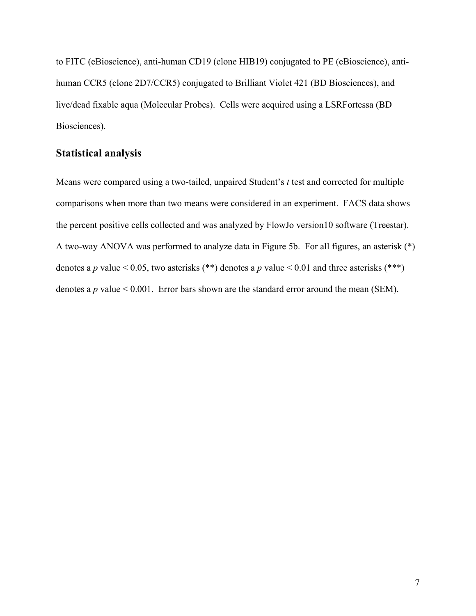to FITC (eBioscience), anti-human CD19 (clone HIB19) conjugated to PE (eBioscience), antihuman CCR5 (clone 2D7/CCR5) conjugated to Brilliant Violet 421 (BD Biosciences), and live/dead fixable aqua (Molecular Probes). Cells were acquired using a LSRFortessa (BD Biosciences).

### **Statistical analysis**

Means were compared using a two-tailed, unpaired Student's *t* test and corrected for multiple comparisons when more than two means were considered in an experiment. FACS data shows the percent positive cells collected and was analyzed by FlowJo version10 software (Treestar). A two-way ANOVA was performed to analyze data in Figure 5b. For all figures, an asterisk (\*) denotes a *p* value < 0.05, two asterisks (\*\*) denotes a *p* value < 0.01 and three asterisks (\*\*\*) denotes a  $p$  value  $< 0.001$ . Error bars shown are the standard error around the mean (SEM).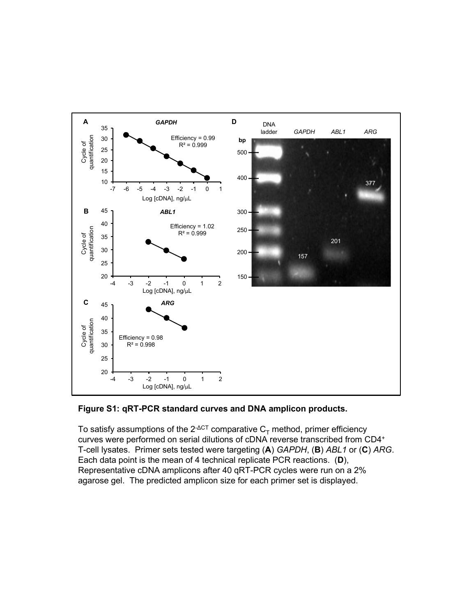

#### **Figure S1: qRT-PCR standard curves and DNA amplicon products.**

To satisfy assumptions of the  $2^{\triangle C}$  comparative  $C_{\tau}$  method, primer efficiency curves were performed on serial dilutions of cDNA reverse transcribed from CD4+ T-cell lysates. Primer sets tested were targeting (**A**) *GAPDH*, (**B**) *ABL1* or (**C**) *ARG*. Each data point is the mean of 4 technical replicate PCR reactions. (**D**), Representative cDNA amplicons after 40 qRT-PCR cycles were run on a 2% agarose gel. The predicted amplicon size for each primer set is displayed.